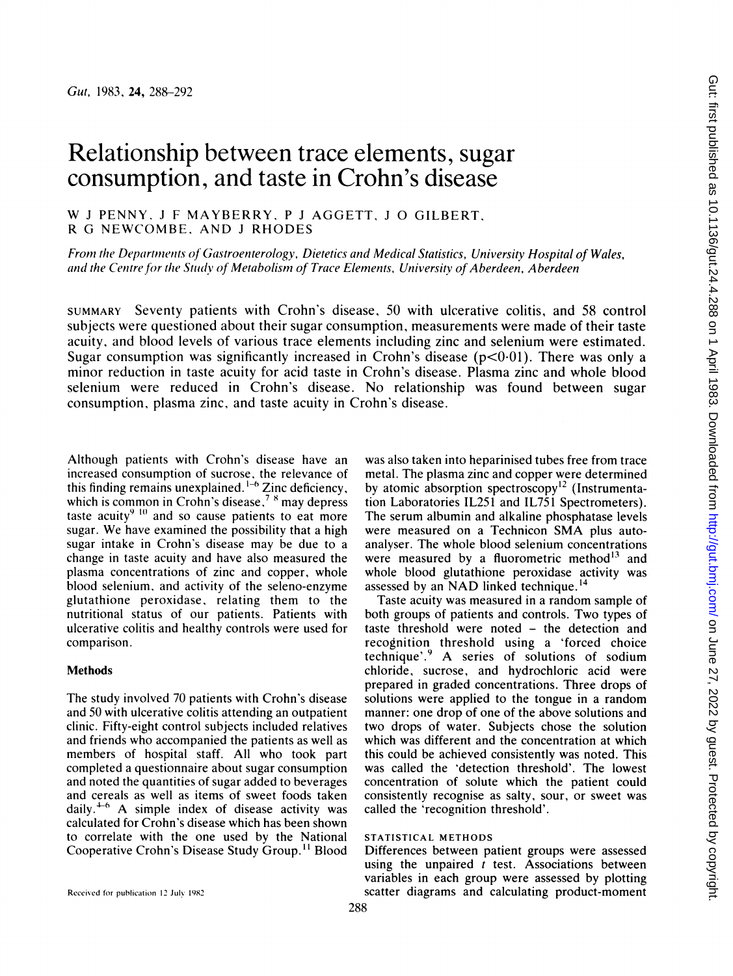# Relationship between trace elements, sugar consumption, and taste in Crohn's disease

W <sup>J</sup> PENNY. <sup>J</sup> <sup>F</sup> MAYBERRY, <sup>P</sup> <sup>J</sup> AGGETT, <sup>J</sup> 0 GILBERT, R G NEWCOMBE. AND <sup>J</sup> RHODES

From the Departments of Gastroenterology, Dietetics and Medical Statistics, University Hospital of Wales, and the Centre for the Study of Metabolism of Trace Elements, University of Aberdeen, Aberdeen

SUMMARY Seventy patients with Crohn's disease, 50 with ulcerative colitis, and 58 control subjects were questioned about their sugar consumption, measurements were made of their taste acuity, and blood levels of various trace elements including zinc and selenium were estimated. Sugar consumption was significantly increased in Crohn's disease ( $p<0.01$ ). There was only a minor reduction in taste acuity for acid taste in Crohn's disease. Plasma zinc and whole blood selenium were reduced in Crohn's disease. No relationship was found between sugar consumption, plasma zinc, and taste acuity in Crohn's disease.

Although patients with Crohn's disease have an increased consumption of sucrose, the relevance of this finding remains unexplained.<sup> $1-6$ </sup> Zinc deficiency, which is common in Crohn's disease, $7<sup>8</sup>$  may depress taste acuity $9^{9}$  lo and so cause patients to eat more sugar. We have examined the possibility that <sup>a</sup> high sugar intake in Crohn's disease may be due to a change in taste acuity and have also measured the plasma concentrations of zinc and copper, whole blood selenium, and activity of the seleno-enzyme glutathione peroxidase, relating them to the nutritional status of our patients. Patients with ulcerative colitis and healthy controls were used for comparison.

### Methods

The study involved 70 patients with Crohn's disease and 50 with ulcerative colitis attending an outpatient clinic. Fifty-eight control subjects included relatives and friends who accompanied the patients as well as members of hospital staff. All who took part completed a questionnaire about sugar consumption and noted the quantities of sugar added to beverages and cereals as well as items of sweet foods taken daily.<sup> $+6$ </sup> A simple index of disease activity was calculated for Crohn's disease which has been shown to correlate with the one used by the National Cooperative Crohn's Disease Study Group.<sup>11</sup> Blood

was also taken into heparinised tubes free from trace metal. The plasma zinc and copper were determined by atomic absorption spectroscopy<sup>12</sup> (Instrumentation Laboratories IL251 and IL751 Spectrometers). The serum albumin and alkaline phosphatase levels were measured on <sup>a</sup> Technicon SMA plus autoanalyser. The whole blood selenium concentrations were measured by a fluorometric method<sup>13</sup> and whole blood glutathione peroxidase activity was assessed by an NAD linked technique.<sup>14</sup>

Taste acuity was measured in a random sample of both groups of patients and controls. Two types of taste threshold were noted - the detection and recognition threshold using a 'forced choice technique'.9 A series of solutions of sodium chloride, sucrose, and hydrochloric acid were prepared in graded concentrations. Three drops of solutions were applied to the tongue in a random manner: one drop of one of the above solutions and two drops of water. Subjects chose the solution which was different and the concentration at which this could be achieved consistently was noted. This was called the 'detection threshold'. The lowest concentration of solute which the patient could consistently recognise as salty, sour, or sweet was called the 'recognition threshold'.

## STATISTICAL METHODS

Differences between patient groups were assessed using the unpaired  $t$  test. Associations between variables in each group were assessed by plotting scatter diagrams and calculating product-moment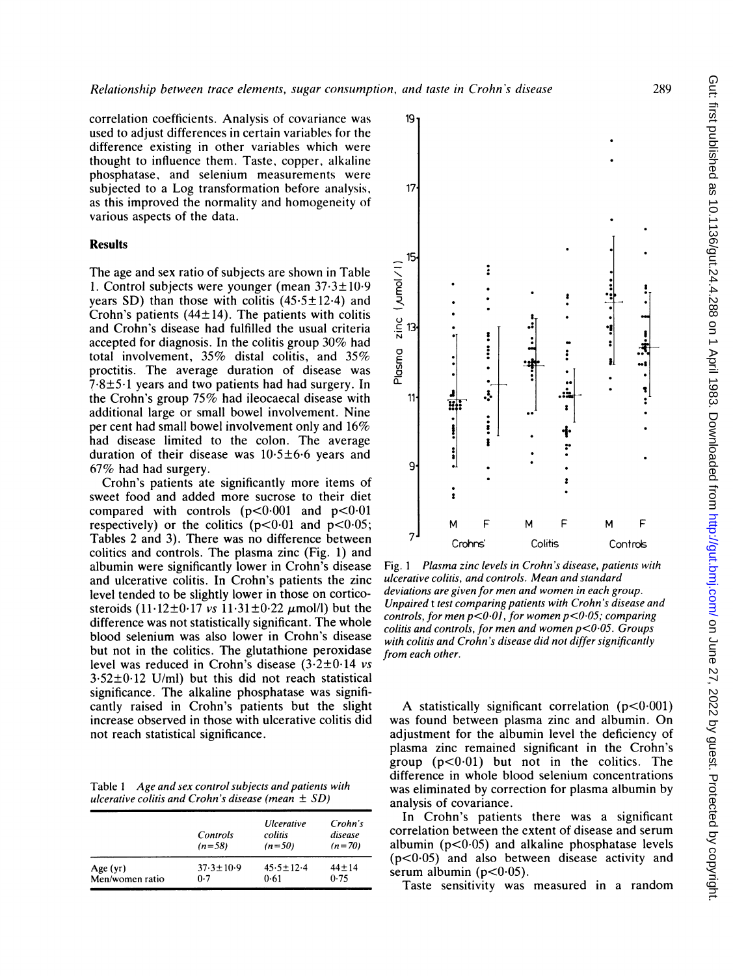correlation coefficients. Analysis of covariance was used to adjust differences in certain variables for the difference existing in other variables which were thought to influence them. Taste, copper, alkaline phosphatase, and selenium measurements were subjected to a Log transformation before analysis, as this improved the normality and homogeneity of various aspects of the data.

## Results

The age and sex ratio of subjects are shown in Table 1. Control subjects were younger (mean  $37.3 \pm 10.9$ ) years SD) than those with colitis  $(45.5 \pm 12.4)$  and Crohn's patients  $(44\pm 14)$ . The patients with colitis and Crohn's disease had fulfilled the usual criteria accepted for diagnosis. In the colitis group 30% had total involvement, 35% distal colitis, and 35% proctitis. The average duration of disease was  $7.8 \pm 5.1$  years and two patients had had surgery. In the Crohn's group 75% had ileocaecal disease with additional large or small bowel involvement. Nine per cent had small bowel involvement only and 16% had disease limited to the colon. The average duration of their disease was  $10.5±6.6$  years and 67% had had surgery.

Crohn's patients ate significantly more items of sweet food and added more sucrose to their diet compared with controls  $(p<0.001$  and  $p<0.01$ respectively) or the colitics  $(p<0.01$  and  $p<0.05$ ; Tables <sup>2</sup> and 3). There was no difference between colitics and controls. The plasma zinc (Fig. 1) and albumin were significantly lower in Crohn's disease and ulcerative colitis. In Crohn's patients the zinc level tended to be slightly lower in those on corticosteroids  $(11.12\pm0.17 \text{ vs } 11.31\pm0.22 \text{ }\mu\text{mol/l})$  but the difference was not statistically significant. The whole blood selenium was also lower in Crohn's disease but not in the colitics. The glutathione peroxidase level was reduced in Crohn's disease  $(3.2\pm0.14 \text{ vs }$  $3.52\pm0.12$  U/ml) but this did not reach statistical significance. The alkaline phosphatase was significantly raised in Crohn's patients but the slight increase observed in those with ulcerative colitis did not reach statistical significance.

Table <sup>1</sup> Age and sex control subjects and patients with ulcerative colitis and Crohn's disease (mean  $\pm$  SD)

|                 | Controls<br>$(n=58)$ | <i><b>Ulcerative</b></i><br>colitis<br>$(n=50)$ | Crohn's<br>disease<br>$(n=70)$ |
|-----------------|----------------------|-------------------------------------------------|--------------------------------|
| Age(yr)         | $37.3 \pm 10.9$      | $45.5 \pm 12.4$                                 | $44 + 14$                      |
| Men/women ratio | 0.7                  | 0.61                                            | 0.75                           |



Fig. <sup>l</sup> Plasma zinc levels in Crohn's disease, patients with ulcerative colitis, and controls. Mean and standard deviations are given for men and women in each group. Unpaired <sup>t</sup> test comparing patients with Crohn's disease and controls, for men  $p < 0.01$ , for women  $p < 0.05$ ; comparing colitis and controls, for men and women  $p < 0.05$ . Groups with colitis and Crohn's disease did not differ significantly from each other.

A statistically significant correlation  $(p<0.001)$ was found between plasma zinc and albumin. On adjustment for the albumin level the deficiency of plasma zinc remained significant in the Crohn's group  $(p<0.01)$  but not in the colitics. The difference in whole blood selenium concentrations was eliminated by correction for plasma albumin by analysis of covariance.

In Crohn's patients there was a significant correlation between the cxtent of disease and serum albumin ( $p<0.05$ ) and alkaline phosphatase levels  $(p<0.05)$  and also between disease activity and serum albumin ( $p < 0.05$ ).

Taste sensitivity was measured in a random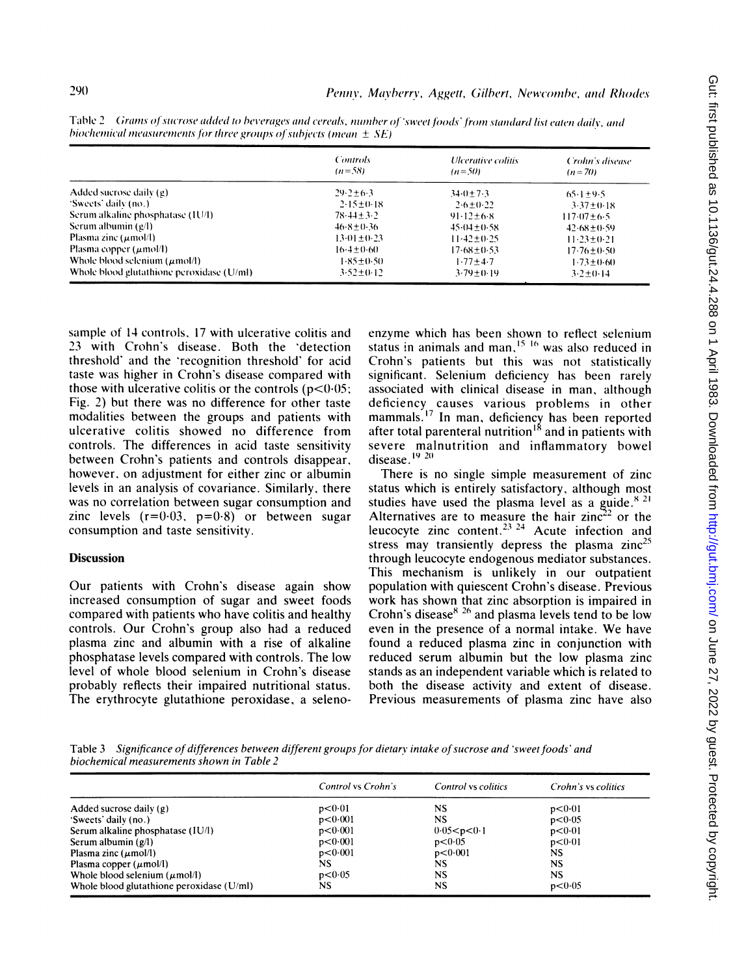|                                           | <b>Controls</b><br>$(n=58)$ | <i>Ulcerative colitis</i><br>$(n=50)$ | Crohn's disease<br>$(n=70)$ |
|-------------------------------------------|-----------------------------|---------------------------------------|-----------------------------|
| Added sucrose daily (g)                   | $29.2 + 6.3$                | $34.0 + 7.3$                          | $65.1 \pm 9.5$              |
| "Sweets" daily (no.)                      | $2.15 \pm 0.18$             | $2.6 \pm 0.22$                        | $3.37 \pm 0.18$             |
| Serum alkaline phosphatase (1U/1)         | $78.44 + 3.2$               | $91.12 + 6.8$                         | $117.07 \pm 6.5$            |
| Serum albumin $(g/l)$                     | $46.8 + 0.36$               | $45.04 + 0.58$                        | $42.68 \pm 0.59$            |
| Plasma zinc $(\mu \text{mol/l})$          | $13.01 \pm 0.23$            | $11.42 \pm 0.25$                      | $11.23 + 0.21$              |
| Plasma copper $(\mu \text{mol/l})$        | $16.4 \pm 0.60$             | $17.68 \pm 0.53$                      | $17.76 \pm 0.50$            |
| Whole blood selenium $(\mu$ mol/l)        | $1.85 + 0.50$               | $1.77 + 4.7$                          | $1.73 \pm 0.60$             |
| Whole blood glutathione peroxidase (U/ml) | $3.52 \pm 0.12$             | $3.79 \pm 0.19$                       | $3.2 \pm 0.14$              |

Table 2 Grams of sucrose added to beverages and cereals, number of 'sweet foods' from standard list eaten daily, and biochemical measurements for three groups of subjects (mean  $\pm$  SE)

sample of 14 controls, 17 with ulcerative colitis and 23 with Crohn's disease. Both the 'detection threshold' and the 'recognition threshold' for acid taste was higher in Crohn's disease compared with those with ulcerative colitis or the controls ( $p < 0.05$ ; Fig. 2) but there was no difference for other taste modalities between the groups and patients with ulcerative colitis showed no difference from controls. The differences in acid taste sensitivity between Crohn's patients and controls disappear, however, on adjustment for either zinc or albumin levels in an analysis of covariance. Similarly, there was no correlation between sugar consumption and zinc levels  $(r=0.03, p=0.8)$  or between sugar consumption and taste sensitivity.

#### **Discussion**

Our patients with Crohn's disease again show increased consumption of sugar and sweet foods compared with patients who have colitis and healthy controls. Our Crohn's group also had a reduced plasma zinc and albumin with a rise of alkaline phosphatase levels compared with controls. The low level of whole blood selenium in Crohn's disease probably reflects their impaired nutritional status. The erythrocyte glutathione peroxidase, a selenoenzyme which has been shown to reflect selenium status in animals and man,<sup>15-16</sup> was also reduced in Crohn's patients but this was not statistically significant. Selenium deficiency has been rarely associated with clinical disease in man, although deficiency causes various problems in other mammals.<sup>17</sup> In man, deficiency has been reported after total parenteral nutrition<sup>18</sup> and in patients with severe malnutrition and inflammatory bowel disease.<sup>19 20</sup>

There is no single simple measurement of zinc status which is entirely satisfactory, although most studies have used the plasma level as a guide.<sup>8-21</sup> Alternatives are to measure the hair zinc<sup>22</sup> or the leucocyte zinc content.<sup>23</sup> <sup>24</sup> Acute infection and stress may transiently depress the plasma zinc<sup>25</sup> through leucocyte endogenous mediator substances. This mechanism is unlikely in our outpatient population with quiescent Crohn's disease. Previous work has shown that zinc absorption is impaired in Crohn's disease<sup>8 26</sup> and plasma levels tend to be low even in the presence of a normal intake. We have found a reduced plasma zinc in conjunction with reduced serum albumin but the low plasma zinc stands as an independent variable which is related to both the disease activity and extent of disease. Previous measurements of plasma zinc have also

Table 3 Significance of differences between different groups for dietary intake of sucrose and 'sweet foods' and biochemical measurements shown in Table 2

|                                           | Control vs Crohn's | Control vs colitics | Crohn's vs colitics |
|-------------------------------------------|--------------------|---------------------|---------------------|
| Added sucrose daily (g)                   | p < 0.01           | NS                  | p < 0.01            |
| 'Sweets' daily (no.)                      | p < 0.001          | NS                  | p < 0.05            |
| Serum alkaline phosphatase (IU/l)         | p < 0.001          | 0.05 < p < 0.1      | p < 0.01            |
| Serum albumin $(g/l)$                     | p < 0.001          | p < 0.05            | p < 0.01            |
| Plasma zinc $(\mu \text{mol/l})$          | p < 0.001          | p < 0.001           | NS.                 |
| Plasma copper $(\mu \text{mol/l})$        | NS                 | NS                  | NS.                 |
| Whole blood selenium $(\mu \text{mol/l})$ | p < 0.05           | NS                  | NS.                 |
| Whole blood glutathione peroxidase (U/ml) | NS                 | NS                  | p < 0.05            |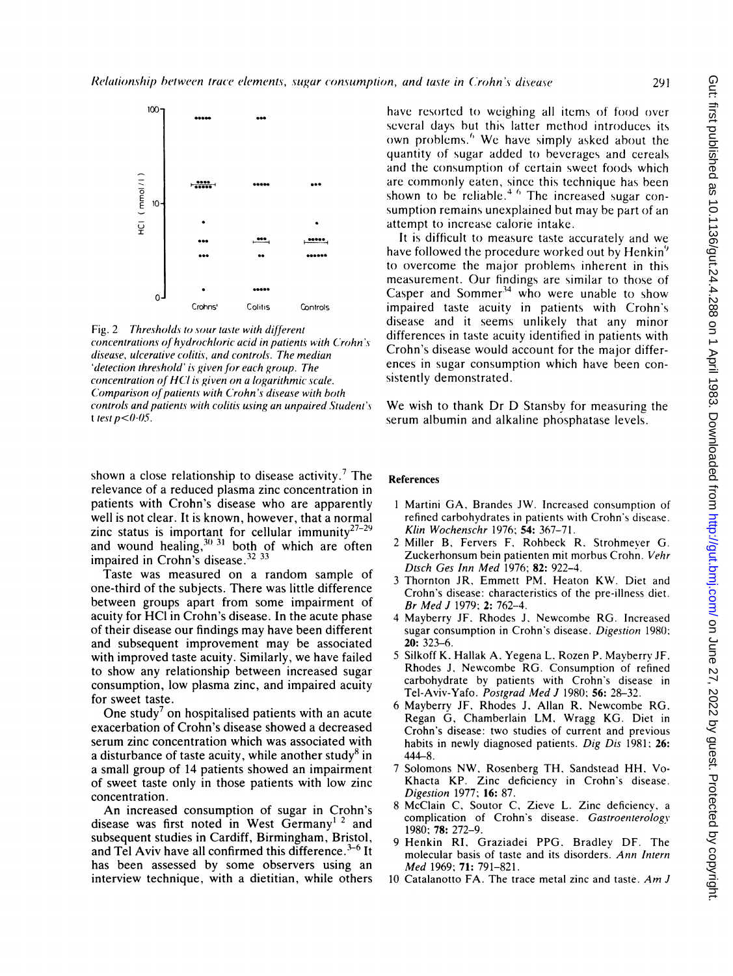

Fig. 2 Thresholds to sour taste with different concentrations of hydrochloric acid in patients with Crohn's disease, ulcerative colitis, and controls. The median 'detection threshold' is given for each group. The concentration of HCl is given on a logarithmic scale. Comparison of patients with Crohn's disease with both controls and patients with colitis using an unpaired Student's t test  $p < 0.05$ .

shown a close relationship to disease activity.<sup>7</sup> The relevance of a reduced plasma zinc concentration in patients with Crohn's disease who are apparently well is not clear. It is known, however, that a normal zinc status is important for cellular immunity<sup>27-29</sup> and wound healing,  $30\,31$  both of which are often<br>impaired in Crohn's disease.  $32\,33$ 

Taste was measured on a random sample of one-third of the subjects. There was little difference between groups apart from some impairment of acuity for HCl in Crohn's disease. In the acute phase of their disease our findings may have been different and subsequent improvement may be associated with improved taste acuity. Similarly, we have failed to show any relationship between increased sugar consumption, low plasma zinc, and impaired acuity for sweet taste.

One study<sup>7</sup> on hospitalised patients with an acute exacerbation of Crohn's disease showed a decreased serum zinc concentration which was associated with a disturbance of taste acuity, while another study<sup>8</sup> in a small group of 14 patients showed an impairment of sweet taste only in those patients with low zinc concentration.

An increased consumption of sugar in Crohn's disease was first noted in West Germany<sup>1 2</sup> and subsequent studies in Cardiff, Birmingham, Bristol, and Tel Aviv have all confirmed this difference. $3-6$  It has been assessed by some observers using an interview technique, with a dietitian, while others

have resorted to weighing all items of food over several days but this latter method introduces its own problems.<sup>6</sup> We have simply asked about the quantity of sugar added to beverages and cereals and the consumption of certain sweet foods which are commonly eaten, since this technique has been shown to be reliable.<sup>4 6</sup> The increased sugar consumption remains unexplained but may be part of an attempt to increase calorie intake.

It is difficult to measure taste accurately and we have followed the procedure worked out by Henkin<sup>9</sup> to overcome the major problems inherent in this measurement. Our findings are similar to those of Casper and Sommer<sup>34</sup> who were unable to show impaired taste acuity in patients with Crohn's disease and it seems unlikely that any minor differences in taste acuity identified in patients with Crohn's disease would account for the major differences in sugar consumption which have been consistently demonstrated.

We wish to thank Dr D Stansby for measuring the serum albumin and alkaline phosphatase levels.

#### **References**

- 1 Martini GA, Brandes JW. Increased consumption of refined carbohydrates in patients with Crohn's disease. Klin Wochenschr 1976; 54: 367-71.
- 2 Miller B, Fervers F, Rohbeck R. Strohmeyer G. Zuckerhonsum bein patienten mit morbus Crohn. Vehr Dtsch Ges Inn Med 1976; 82: 922-4.
- 3 Thornton JR, Emmett PM, Heaton KW. Diet and Crohn's disease: characteristics of the pre-illness diet. Br Med J 1979; 2: 762-4.
- 4 Mayberry JF, Rhodes J, Newcombe RG. Increased sugar consumption in Crohn's disease. Digestion 1980; 20: 323-6.
- 5 Silkoff K, Hallak A, Yegena L, Rozen P, Mayberry JF, Rhodes J. Newcombe RG. Consumption of refined carbohydrate by patients with Crohn's disease in Tel-Aviv-Yafo. Postgrad Med J 1980; 56: 28-32.
- 6 Mayberry JF, Rhodes J, Allan R, Newcombe RG, Regan G, Chamberlain LM, Wragg KG. Diet in Crohn's disease: two studies of current and previous habits in newly diagnosed patients. Dig Dis 1981; 26:  $444 - 8$ .
- $\overline{7}$ Solomons NW, Rosenberg TH, Sandstead HH, Vo-Khacta KP. Zinc deficiency in Crohn's disease. Digestion 1977; 16: 87.
- 8 McClain C, Soutor C, Zieve L. Zinc deficiency, a complication of Crohn's disease. Gastroenterology 1980; 78: 272-9.
- 9 Henkin RI, Graziadei PPG. Bradley DF. The molecular basis of taste and its disorders. Ann Intern Med 1969; 71: 791-821.
- 10 Catalanotto FA. The trace metal zinc and taste. Am J